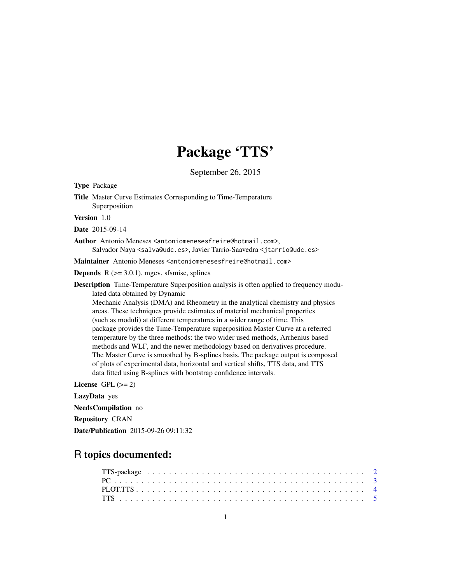# Package 'TTS'

September 26, 2015

Type Package Title Master Curve Estimates Corresponding to Time-Temperature Superposition

Version 1.0

Date 2015-09-14

Author Antonio Meneses <antoniomenesesfreire@hotmail.com>, Salvador Naya <salva@udc.es>, Javier Tarrio-Saavedra <jtarrio@udc.es>

Maintainer Antonio Meneses <antoniomenesesfreire@hotmail.com>

**Depends**  $R$  ( $>= 3.0.1$ ), mgcv, sfsmisc, splines

Description Time-Temperature Superposition analysis is often applied to frequency modulated data obtained by Dynamic

Mechanic Analysis (DMA) and Rheometry in the analytical chemistry and physics areas. These techniques provide estimates of material mechanical properties (such as moduli) at different temperatures in a wider range of time. This package provides the Time-Temperature superposition Master Curve at a referred temperature by the three methods: the two wider used methods, Arrhenius based methods and WLF, and the newer methodology based on derivatives procedure. The Master Curve is smoothed by B-splines basis. The package output is composed of plots of experimental data, horizontal and vertical shifts, TTS data, and TTS data fitted using B-splines with bootstrap confidence intervals.

License GPL  $(>= 2)$ 

LazyData yes

NeedsCompilation no

Repository CRAN

Date/Publication 2015-09-26 09:11:32

# R topics documented: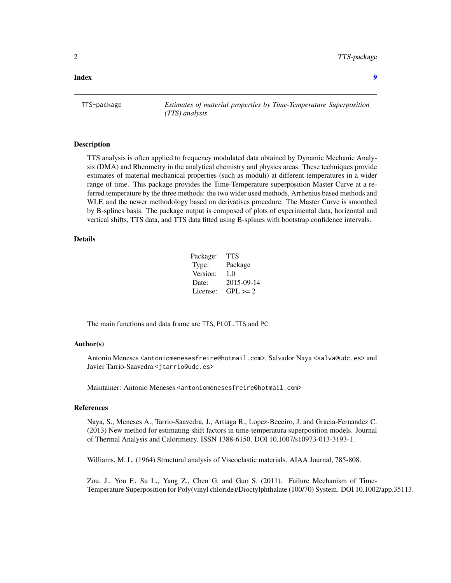<span id="page-1-0"></span>**Index** [9](#page-8-0)

TTS-package *Estimates of material properties by Time-Temperature Superposition (TTS) analysis*

## Description

TTS analysis is often applied to frequency modulated data obtained by Dynamic Mechanic Analysis (DMA) and Rheometry in the analytical chemistry and physics areas. These techniques provide estimates of material mechanical properties (such as moduli) at different temperatures in a wider range of time. This package provides the Time-Temperature superposition Master Curve at a referred temperature by the three methods: the two wider used methods, Arrhenius based methods and WLF, and the newer methodology based on derivatives procedure. The Master Curve is smoothed by B-splines basis. The package output is composed of plots of experimental data, horizontal and vertical shifts, TTS data, and TTS data fitted using B-splines with bootstrap confidence intervals.

# Details

| Package: | TTS          |
|----------|--------------|
| Type:    | Package      |
| Version: | 1.0          |
| Date:    | 2015-09-14   |
| License: | $GPL \geq 2$ |

The main functions and data frame are TTS, PLOT.TTS and PC

# Author(s)

Antonio Meneses <antoniomenesesfreire@hotmail.com>, Salvador Naya <salva@udc.es> and Javier Tarrio-Saavedra <jtarrio@udc.es>

Maintainer: Antonio Meneses <antoniomenesesfreire@hotmail.com>

#### References

Naya, S., Meneses A., Tarrio-Saavedra, J., Artiaga R., Lopez-Beceiro, J. and Gracia-Fernandez C. (2013) New method for estimating shift factors in time-temperatura superposition models. Journal of Thermal Analysis and Calorimetry. ISSN 1388-6150. DOI 10.1007/s10973-013-3193-1.

Williams, M. L. (1964) Structural analysis of Viscoelastic materials. AIAA Journal, 785-808.

Zou, J., You F., Su L., Yang Z., Chen G. and Guo S. (2011). Failure Mechanism of Time-Temperature Superposition for Poly(vinyl chloride)/Dioctylphthalate (100/70) System. DOI 10.1002/app.35113.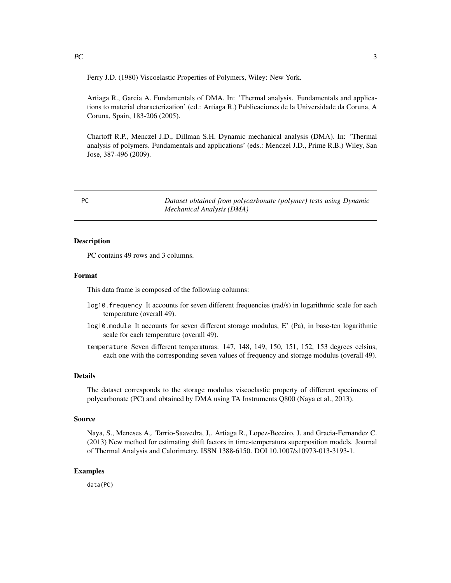<span id="page-2-0"></span> $PC$  3

Ferry J.D. (1980) Viscoelastic Properties of Polymers, Wiley: New York.

Artiaga R., Garcia A. Fundamentals of DMA. In: 'Thermal analysis. Fundamentals and applications to material characterization' (ed.: Artiaga R.) Publicaciones de la Universidade da Coruna, A Coruna, Spain, 183-206 (2005).

Chartoff R.P., Menczel J.D., Dillman S.H. Dynamic mechanical analysis (DMA). In: 'Thermal analysis of polymers. Fundamentals and applications' (eds.: Menczel J.D., Prime R.B.) Wiley, San Jose, 387-496 (2009).

PC *Dataset obtained from polycarbonate (polymer) tests using Dynamic Mechanical Analysis (DMA)*

# Description

PC contains 49 rows and 3 columns.

#### Format

This data frame is composed of the following columns:

- log10.frequency It accounts for seven different frequencies (rad/s) in logarithmic scale for each temperature (overall 49).
- log10.module It accounts for seven different storage modulus, E' (Pa), in base-ten logarithmic scale for each temperature (overall 49).
- temperature Seven different temperaturas: 147, 148, 149, 150, 151, 152, 153 degrees celsius, each one with the corresponding seven values of frequency and storage modulus (overall 49).

# Details

The dataset corresponds to the storage modulus viscoelastic property of different specimens of polycarbonate (PC) and obtained by DMA using TA Instruments Q800 (Naya et al., 2013).

#### Source

Naya, S., Meneses A,. Tarrio-Saavedra, J,. Artiaga R., Lopez-Beceiro, J. and Gracia-Fernandez C. (2013) New method for estimating shift factors in time-temperatura superposition models. Journal of Thermal Analysis and Calorimetry. ISSN 1388-6150. DOI 10.1007/s10973-013-3193-1.

#### Examples

data(PC)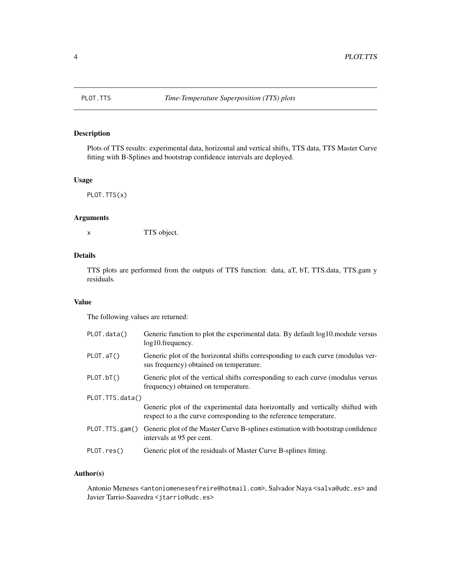<span id="page-3-0"></span>

# Description

Plots of TTS results: experimental data, horizontal and vertical shifts, TTS data, TTS Master Curve fitting with B-Splines and bootstrap confidence intervals are deployed.

# Usage

PLOT.TTS(x)

# Arguments

x TTS object.

# Details

TTS plots are performed from the outputs of TTS function: data, aT, bT, TTS.data, TTS.gam y residuals.

# Value

The following values are returned:

| PLOT.data()      | Generic function to plot the experimental data. By default log10, module versus<br>$log10$ . frequency.                                              |
|------------------|------------------------------------------------------------------------------------------------------------------------------------------------------|
| PLOT.aT()        | Generic plot of the horizontal shifts corresponding to each curve (modulus ver-<br>sus frequency) obtained on temperature.                           |
| PLOT.bT()        | Generic plot of the vertical shifts corresponding to each curve (modulus versus<br>frequency) obtained on temperature.                               |
| PLOT.TTS.data()  |                                                                                                                                                      |
|                  | Generic plot of the experimental data horizontally and vertically shifted with<br>respect to a the curve corresponding to the reference temperature. |
| PLOT. TTS. gam() | Generic plot of the Master Curve B-splines estimation with bootstrap confidence<br>intervals at 95 per cent.                                         |
| PLOT,res()       | Generic plot of the residuals of Master Curve B-splines fitting.                                                                                     |

# Author(s)

Antonio Meneses <antoniomenesesfreire@hotmail.com>, Salvador Naya <salva@udc.es> and Javier Tarrio-Saavedra <jtarrio@udc.es>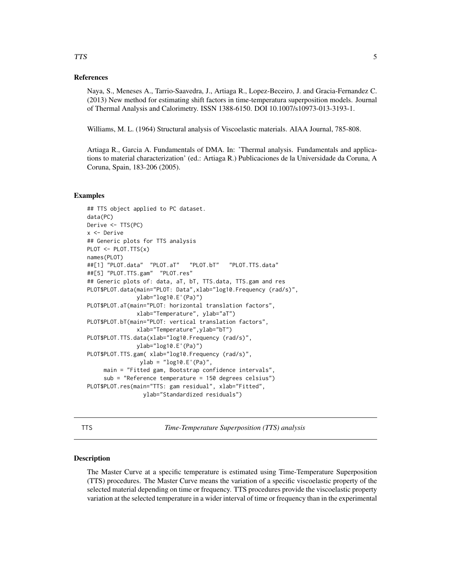# References

Naya, S., Meneses A., Tarrio-Saavedra, J., Artiaga R., Lopez-Beceiro, J. and Gracia-Fernandez C. (2013) New method for estimating shift factors in time-temperatura superposition models. Journal of Thermal Analysis and Calorimetry. ISSN 1388-6150. DOI 10.1007/s10973-013-3193-1.

Williams, M. L. (1964) Structural analysis of Viscoelastic materials. AIAA Journal, 785-808.

Artiaga R., Garcia A. Fundamentals of DMA. In: 'Thermal analysis. Fundamentals and applications to material characterization' (ed.: Artiaga R.) Publicaciones de la Universidade da Coruna, A Coruna, Spain, 183-206 (2005).

# Examples

```
## TTS object applied to PC dataset.
data(PC)
Derive <- TTS(PC)
x <- Derive
## Generic plots for TTS analysis
PLOT \leq- PLOT. TTS(x)names(PLOT)
##[1] "PLOT.data" "PLOT.aT" "PLOT.bT" "PLOT.TTS.data"
##[5] "PLOT.TTS.gam" "PLOT.res"
## Generic plots of: data, aT, bT, TTS.data, TTS.gam and res
PLOT$PLOT.data(main="PLOT: Data",xlab="log10.Frequency (rad/s)",
              ylab="log10.E'(Pa)")
PLOT$PLOT.aT(main="PLOT: horizontal translation factors",
               xlab="Temperature", ylab="aT")
PLOT$PLOT.bT(main="PLOT: vertical translation factors",
               xlab="Temperature",ylab="bT")
PLOT$PLOT.TTS.data(xlab="log10.Frequency (rad/s)",
               ylab="log10.E'(Pa)")
PLOT$PLOT.TTS.gam( xlab="log10.Frequency (rad/s)",
                ylab = "log10.E'(Pa)",
     main = "Fitted gam, Bootstrap confidence intervals",
     sub = "Reference temperature = 150 degrees celsius")
PLOT$PLOT.res(main="TTS: gam residual", xlab="Fitted",
                 ylab="Standardized residuals")
```
TTS *Time-Temperature Superposition (TTS) analysis*

## Description

The Master Curve at a specific temperature is estimated using Time-Temperature Superposition (TTS) procedures. The Master Curve means the variation of a specific viscoelastic property of the selected material depending on time or frequency. TTS procedures provide the viscoelastic property variation at the selected temperature in a wider interval of time or frequency than in the experimental

# <span id="page-4-0"></span>TTS 5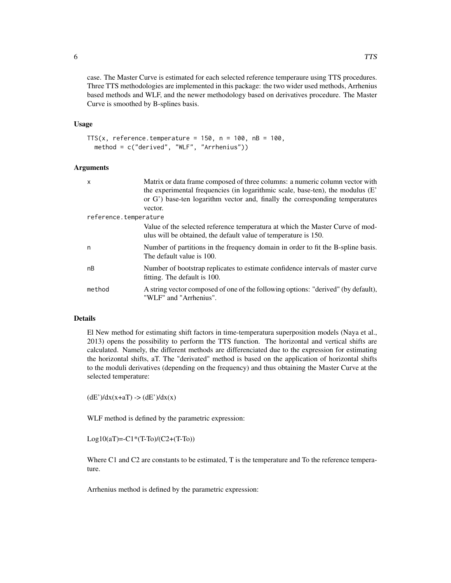case. The Master Curve is estimated for each selected reference temperaure using TTS procedures. Three TTS methodologies are implemented in this package: the two wider used methods, Arrhenius based methods and WLF, and the newer methodology based on derivatives procedure. The Master Curve is smoothed by B-splines basis.

# Usage

```
TTS(x, reference.temperature = 150, n = 100, nB = 100,
 method = c("derived", "WLF", "Arrhenius"))
```
# Arguments

| $\mathsf{x}$          | Matrix or data frame composed of three columns: a numeric column vector with                                                                     |
|-----------------------|--------------------------------------------------------------------------------------------------------------------------------------------------|
|                       | the experimental frequencies (in logarithmic scale, base-ten), the modulus (E'                                                                   |
|                       | or G') base-ten logarithm vector and, finally the corresponding temperatures                                                                     |
|                       | vector.                                                                                                                                          |
| reference.temperature |                                                                                                                                                  |
|                       | Value of the selected reference temperatura at which the Master Curve of mod-<br>ulus will be obtained, the default value of temperature is 150. |
| n                     | Number of partitions in the frequency domain in order to fit the B-spline basis.<br>The default value is 100.                                    |
| nB                    | Number of bootstrap replicates to estimate confidence intervals of master curve<br>fitting. The default is 100.                                  |
| method                | A string vector composed of one of the following options: "derived" (by default),<br>"WLF" and "Arrhenius".                                      |

#### Details

El New method for estimating shift factors in time-temperatura superposition models (Naya et al., 2013) opens the possibility to perform the TTS function. The horizontal and vertical shifts are calculated. Namely, the different methods are differenciated due to the expression for estimating the horizontal shifts, aT. The "derivated" method is based on the application of horizontal shifts to the moduli derivatives (depending on the frequency) and thus obtaining the Master Curve at the selected temperature:

 $(dE')/dx(x+aT)$  ->  $(dE')/dx(x)$ 

WLF method is defined by the parametric expression:

 $Log10(aT) = -C1*(T-To)/(C2+(T-To))$ 

Where C1 and C2 are constants to be estimated, T is the temperature and To the reference temperature.

Arrhenius method is defined by the parametric expression: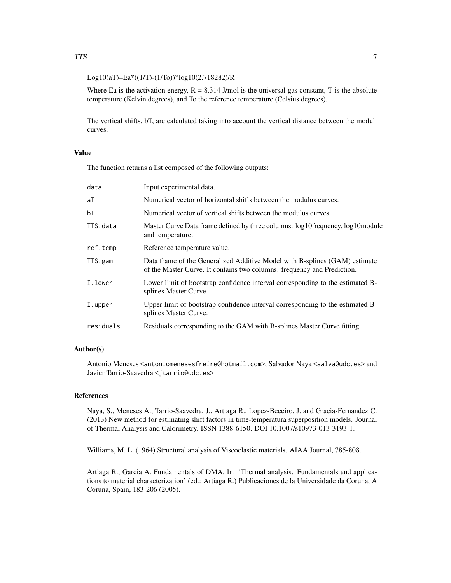# Log10(aT)=Ea\*((1/T)-(1/To))\*log10(2.718282)/R

Where Ea is the activation energy,  $R = 8.314$  J/mol is the universal gas constant, T is the absolute temperature (Kelvin degrees), and To the reference temperature (Celsius degrees).

The vertical shifts, bT, are calculated taking into account the vertical distance between the moduli curves.

# Value

The function returns a list composed of the following outputs:

| data      | Input experimental data.                                                                                                                              |
|-----------|-------------------------------------------------------------------------------------------------------------------------------------------------------|
| aT        | Numerical vector of horizontal shifts between the modulus curves.                                                                                     |
| bT        | Numerical vector of vertical shifts between the modulus curves.                                                                                       |
| TTS.data  | Master Curve Data frame defined by three columns: log10frequency, log10module<br>and temperature.                                                     |
| ref.temp  | Reference temperature value.                                                                                                                          |
| TTS.gam   | Data frame of the Generalized Additive Model with B-splines (GAM) estimate<br>of the Master Curve. It contains two columns: frequency and Prediction. |
| I.lower   | Lower limit of bootstrap confidence interval corresponding to the estimated B-<br>splines Master Curve.                                               |
| I.upper   | Upper limit of bootstrap confidence interval corresponding to the estimated B-<br>splines Master Curve.                                               |
| residuals | Residuals corresponding to the GAM with B-splines Master Curve fitting.                                                                               |
|           |                                                                                                                                                       |

## Author(s)

Antonio Meneses <antoniomenesesfreire@hotmail.com>, Salvador Naya <salva@udc.es> and Javier Tarrio-Saavedra <jtarrio@udc.es>

# References

Naya, S., Meneses A., Tarrio-Saavedra, J., Artiaga R., Lopez-Beceiro, J. and Gracia-Fernandez C. (2013) New method for estimating shift factors in time-temperatura superposition models. Journal of Thermal Analysis and Calorimetry. ISSN 1388-6150. DOI 10.1007/s10973-013-3193-1.

Williams, M. L. (1964) Structural analysis of Viscoelastic materials. AIAA Journal, 785-808.

Artiaga R., Garcia A. Fundamentals of DMA. In: 'Thermal analysis. Fundamentals and applications to material characterization' (ed.: Artiaga R.) Publicaciones de la Universidade da Coruna, A Coruna, Spain, 183-206 (2005).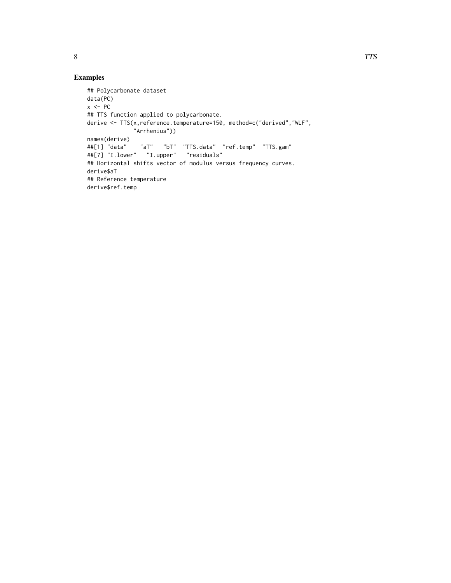# Examples

```
## Polycarbonate dataset
data(PC)
x < -PC## TTS function applied to polycarbonate.
derive <- TTS(x,reference.temperature=150, method=c("derived","WLF",
              "Arrhenius"))
names(derive)
##[1] "data" "aT" "bT" "TTS.data" "ref.temp" "TTS.gam"
##[7] "I.lower" "I.upper" "residuals"
## Horizontal shifts vector of modulus versus frequency curves.
derive$aT
## Reference temperature
derive$ref.temp
```